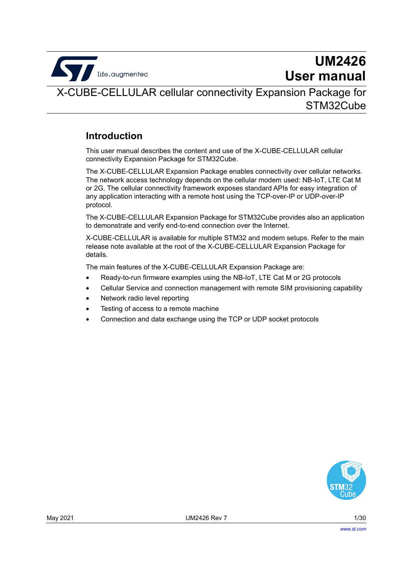

# **UM2426 User manual**

X-CUBE-CELLULAR cellular connectivity Expansion Package for STM32Cube

## <span id="page-0-0"></span>**Introduction**

This user manual describes the content and use of the X-CUBE-CELLULAR cellular connectivity Expansion Package for STM32Cube.

The X-CUBE-CELLULAR Expansion Package enables connectivity over cellular networks. The network access technology depends on the cellular modem used: NB-IoT, LTE Cat M or 2G. The cellular connectivity framework exposes standard APIs for easy integration of any application interacting with a remote host using the TCP-over-IP or UDP-over-IP protocol.

The X-CUBE-CELLULAR Expansion Package for STM32Cube provides also an application to demonstrate and verify end-to-end connection over the Internet.

X-CUBE-CELLULAR is available for multiple STM32 and modem setups. Refer to the main release note available at the root of the X-CUBE-CELLULAR Expansion Package for details.

The main features of the X-CUBE-CELLULAR Expansion Package are:

- Ready-to-run firmware examples using the NB-IoT, LTE Cat M or 2G protocols
- Cellular Service and connection management with remote SIM provisioning capability
- Network radio level reporting
- Testing of access to a remote machine
- Connection and data exchange using the TCP or UDP socket protocols

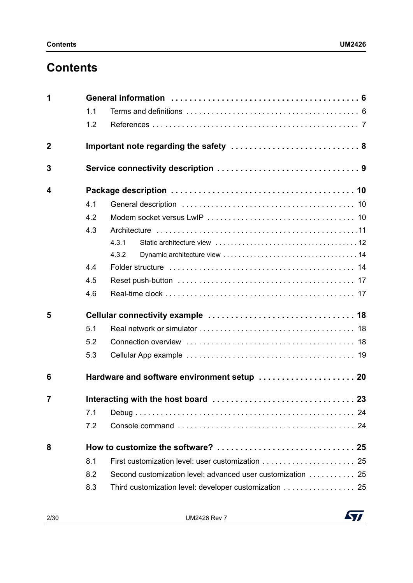# **Contents**

| 1           |     |                                                            |  |  |
|-------------|-----|------------------------------------------------------------|--|--|
|             | 1.1 |                                                            |  |  |
|             | 1.2 |                                                            |  |  |
| $\mathbf 2$ |     |                                                            |  |  |
| 3           |     |                                                            |  |  |
| 4           |     |                                                            |  |  |
|             | 4.1 |                                                            |  |  |
|             | 4.2 |                                                            |  |  |
|             | 4.3 |                                                            |  |  |
|             |     | 4.3.1                                                      |  |  |
|             |     | 4.3.2                                                      |  |  |
|             | 4.4 |                                                            |  |  |
|             | 4.5 |                                                            |  |  |
|             | 4.6 |                                                            |  |  |
| 5           |     |                                                            |  |  |
|             | 5.1 |                                                            |  |  |
|             | 5.2 |                                                            |  |  |
|             | 5.3 |                                                            |  |  |
| 6           |     | Hardware and software environment setup  20                |  |  |
| 7           |     |                                                            |  |  |
|             | 7.1 |                                                            |  |  |
|             | 7.2 |                                                            |  |  |
| 8           |     |                                                            |  |  |
|             | 8.1 |                                                            |  |  |
|             | 8.2 | Second customization level: advanced user customization 25 |  |  |
|             | 8.3 | Third customization level: developer customization 25      |  |  |

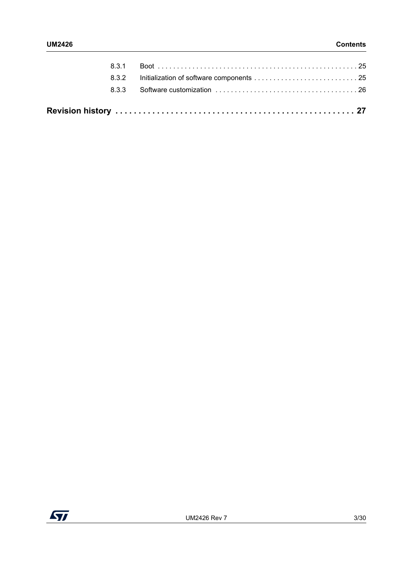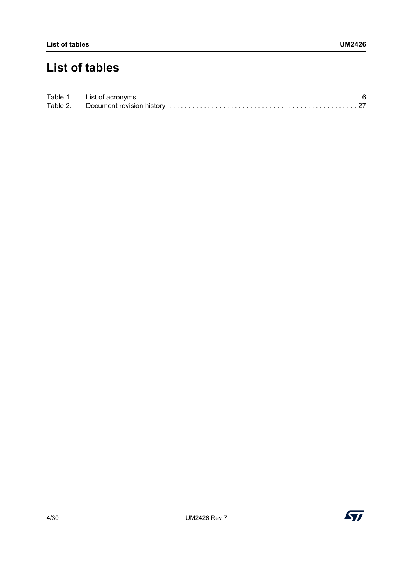# **List of tables**



 $\sqrt{1}$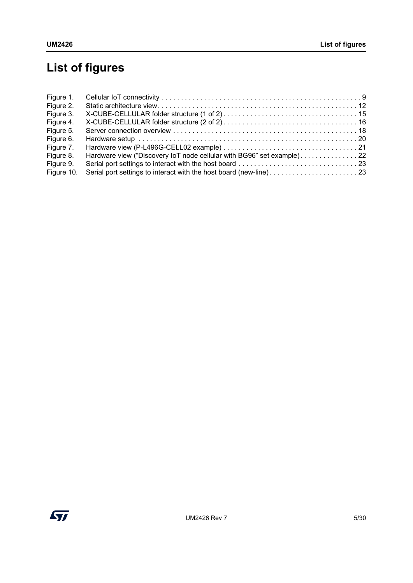# **List of figures**

| Figure 1.  |                                                                       |  |
|------------|-----------------------------------------------------------------------|--|
| Figure 2.  |                                                                       |  |
| Figure 3.  |                                                                       |  |
| Figure 4.  |                                                                       |  |
| Figure 5.  |                                                                       |  |
| Figure 6.  |                                                                       |  |
| Figure 7.  |                                                                       |  |
| Figure 8.  | Hardware view ("Discovery IoT node cellular with BG96" set example)22 |  |
| Figure 9.  |                                                                       |  |
| Figure 10. |                                                                       |  |

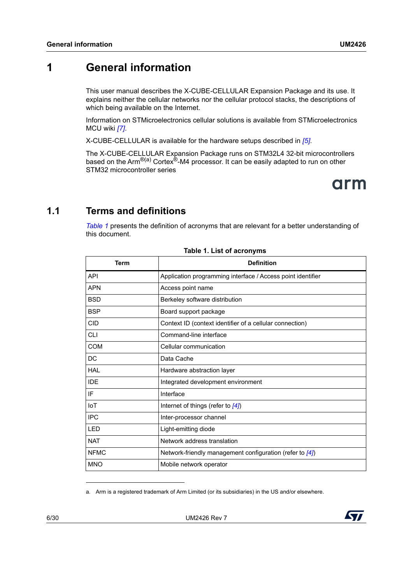# <span id="page-5-0"></span>**1 General information**

This user manual describes the X-CUBE-CELLULAR Expansion Package and its use. It explains neither the cellular networks nor the cellular protocol stacks, the descriptions of which being available on the Internet.

Information on STMicroelectronics cellular solutions is available from STMicroelectronics MCU wiki *[\[7\]](#page-6-1)*.

X-CUBE-CELLULAR is available for the hardware setups described in *[\[5\]](#page-6-2)*.

The X-CUBE-CELLULAR Expansion Package runs on STM32L4 32-bit microcontrollers based on the Arm<sup>®(a)</sup> Cortex<sup>®</sup>-M4 processor. It can be easily adapted to run on other STM32 microcontroller series



## <span id="page-5-1"></span>**1.1 Terms and definitions**

*[Table](#page-5-2) 1* presents the definition of acronyms that are relevant for a better understanding of this document.

<span id="page-5-2"></span>

| Term        | <b>Definition</b>                                           |
|-------------|-------------------------------------------------------------|
| API         | Application programming interface / Access point identifier |
| <b>APN</b>  | Access point name                                           |
| <b>BSD</b>  | Berkeley software distribution                              |
| <b>BSP</b>  | Board support package                                       |
| <b>CID</b>  | Context ID (context identifier of a cellular connection)    |
| СLI         | Command-line interface                                      |
| <b>COM</b>  | Cellular communication                                      |
| DC          | Data Cache                                                  |
| HAL         | Hardware abstraction layer                                  |
| <b>IDE</b>  | Integrated development environment                          |
| IF          | Interface                                                   |
| <b>IoT</b>  | Internet of things (refer to [4])                           |
| <b>IPC</b>  | Inter-processor channel                                     |
| <b>LED</b>  | Light-emitting diode                                        |
| <b>NAT</b>  | Network address translation                                 |
| <b>NFMC</b> | Network-friendly management configuration (refer to [4])    |
| <b>MNO</b>  | Mobile network operator                                     |

#### **Table 1. List of acronyms**

a. Arm is a registered trademark of Arm Limited (or its subsidiaries) in the US and/or elsewhere.



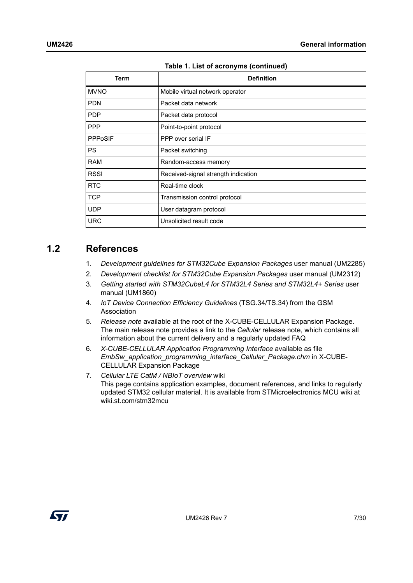| <b>Term</b>    | <b>Definition</b>                   |
|----------------|-------------------------------------|
| <b>MVNO</b>    | Mobile virtual network operator     |
| <b>PDN</b>     | Packet data network                 |
| <b>PDP</b>     | Packet data protocol                |
| <b>PPP</b>     | Point-to-point protocol             |
| <b>PPPoSIF</b> | PPP over serial IF                  |
| <b>PS</b>      | Packet switching                    |
| <b>RAM</b>     | Random-access memory                |
| <b>RSSI</b>    | Received-signal strength indication |
| <b>RTC</b>     | Real-time clock                     |
| <b>TCP</b>     | Transmission control protocol       |
| <b>UDP</b>     | User datagram protocol              |
| <b>URC</b>     | Unsolicited result code             |

**Table 1. List of acronyms (continued)**

## <span id="page-6-0"></span>**1.2 References**

- 1. *Development guidelines for STM32Cube Expansion Packages* user manual (UM2285)
- 2. *Development checklist for STM32Cube Expansion Packages* user manual (UM2312)
- 3. *Getting started with STM32CubeL4 for STM32L4 Series and STM32L4+ Series* user manual (UM1860)
- <span id="page-6-3"></span>4. *IoT Device Connection Efficiency Guidelines* (TSG.34/TS.34) from the GSM Association
- <span id="page-6-2"></span>5. *Release note* available at the root of the X-CUBE-CELLULAR Expansion Package. The main release note provides a link to the *Cellular* release note, which contains all information about the current delivery and a regularly updated FAQ
- 6. *X-CUBE-CELLULAR Application Programming Interface* available as file *EmbSw\_application\_programming\_interface\_Cellular\_Package.chm* in X-CUBE-CELLULAR Expansion Package
- <span id="page-6-1"></span>7. *Cellular LTE CatM / NBIoT overview* wiki This page contains application examples, document references, and links to regularly updated STM32 cellular material. It is available from STMicroelectronics MCU wiki at wiki.st.com/stm32mcu

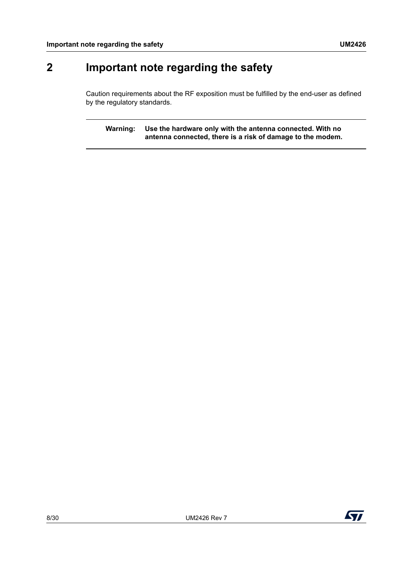# <span id="page-7-0"></span>**2 Important note regarding the safety**

Caution requirements about the RF exposition must be fulfilled by the end-user as defined by the regulatory standards.

**Warning: Use the hardware only with the antenna connected. With no antenna connected, there is a risk of damage to the modem.**

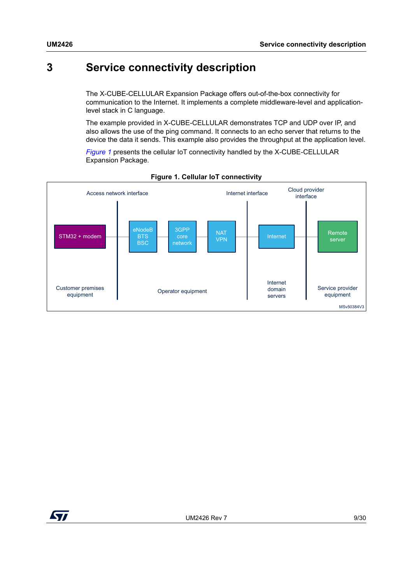# <span id="page-8-0"></span>**3 Service connectivity description**

The X-CUBE-CELLULAR Expansion Package offers out-of-the-box connectivity for communication to the Internet. It implements a complete middleware-level and applicationlevel stack in C language.

The example provided in X-CUBE-CELLULAR demonstrates TCP and UDP over IP, and also allows the use of the ping command. It connects to an echo server that returns to the device the data it sends. This example also provides the throughput at the application level.

*[Figure](#page-8-1) 1* presents the cellular IoT connectivity handled by the X-CUBE-CELLULAR Expansion Package.

<span id="page-8-1"></span>

#### **Figure 1. Cellular IoT connectivity**

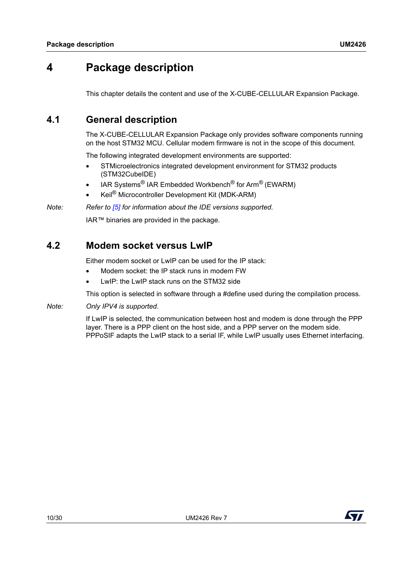# <span id="page-9-0"></span>**4 Package description**

This chapter details the content and use of the X-CUBE-CELLULAR Expansion Package.

# <span id="page-9-1"></span>**4.1 General description**

The X-CUBE-CELLULAR Expansion Package only provides software components running on the host STM32 MCU. Cellular modem firmware is not in the scope of this document.

The following integrated development environments are supported:

- STMicroelectronics integrated development environment for STM32 products (STM32CubeIDE)
- IAR Systems® IAR Embedded Workbench® for Arm® (EWARM)
- Keil® Microcontroller Development Kit (MDK-ARM)

*Note: Refer to [\[5\]](#page-6-2) for information about the IDE versions supported.*

IAR™ binaries are provided in the package.

## <span id="page-9-2"></span>**4.2 Modem socket versus LwIP**

Either modem socket or LwIP can be used for the IP stack:

- Modem socket: the IP stack runs in modem FW
- LwIP: the LwIP stack runs on the STM32 side

This option is selected in software through a #define used during the compilation process.

*Note: Only IPV4 is supported.*

If LwIP is selected, the communication between host and modem is done through the PPP layer. There is a PPP client on the host side, and a PPP server on the modem side. PPPoSIF adapts the LwIP stack to a serial IF, while LwIP usually uses Ethernet interfacing.

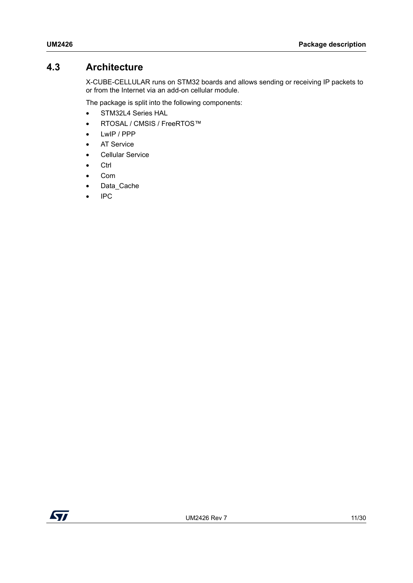# <span id="page-10-0"></span>**4.3 Architecture**

X-CUBE-CELLULAR runs on STM32 boards and allows sending or receiving IP packets to or from the Internet via an add-on cellular module.

The package is split into the following components:

- STM32L4 Series HAL
- RTOSAL / CMSIS / FreeRTOS™
- LwIP / PPP
- AT Service
- Cellular Service
- Ctrl
- Com
- Data\_Cache
- IPC

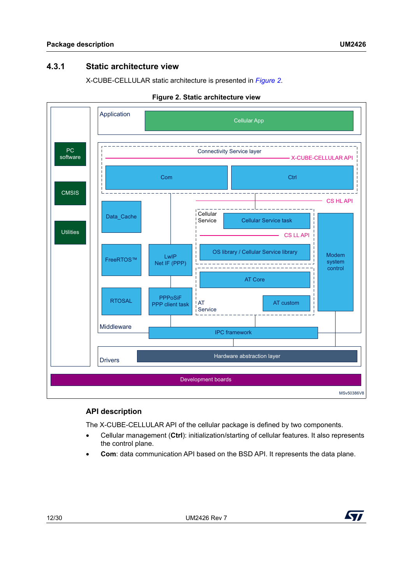## <span id="page-11-0"></span>**4.3.1 Static architecture view**

X-CUBE-CELLULAR static architecture is presented in *[Figure](#page-11-1) 2*.

<span id="page-11-1"></span>

#### **Figure 2. Static architecture view**

#### **API description**

The X-CUBE-CELLULAR API of the cellular package is defined by two components.

- Cellular management (**Ctrl**): initialization/starting of cellular features. It also represents the control plane.
- **Com**: data communication API based on the BSD API. It represents the data plane.

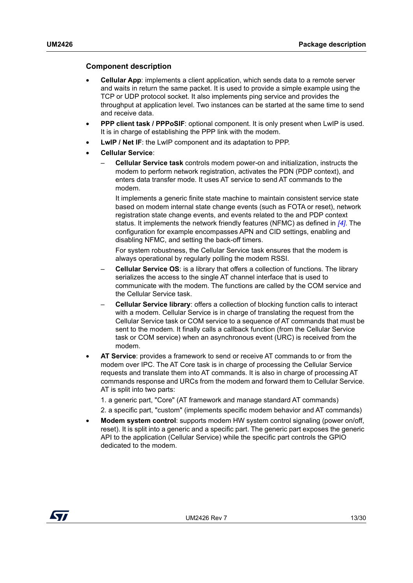#### **Component description**

- **Cellular App**: implements a client application, which sends data to a remote server and waits in return the same packet. It is used to provide a simple example using the TCP or UDP protocol socket. It also implements ping service and provides the throughput at application level. Two instances can be started at the same time to send and receive data.
- **PPP client task / PPPoSIF**: optional component. It is only present when LwIP is used. It is in charge of establishing the PPP link with the modem.
- **LwIP / Net IF**: the LwIP component and its adaptation to PPP.
- **Cellular Service**:
	- **Cellular Service task** controls modem power-on and initialization, instructs the modem to perform network registration, activates the PDN (PDP context), and enters data transfer mode. It uses AT service to send AT commands to the modem.

It implements a generic finite state machine to maintain consistent service state based on modem internal state change events (such as FOTA or reset), network registration state change events, and events related to the and PDP context status. It implements the network friendly features (NFMC) as defined in *[\[4\]](#page-6-3)*. The configuration for example encompasses APN and CID settings, enabling and disabling NFMC, and setting the back-off timers.

For system robustness, the Cellular Service task ensures that the modem is always operational by regularly polling the modem RSSI.

- **Cellular Service OS**: is a library that offers a collection of functions. The library serializes the access to the single AT channel interface that is used to communicate with the modem. The functions are called by the COM service and the Cellular Service task.
- **Cellular Service library**: offers a collection of blocking function calls to interact with a modem. Cellular Service is in charge of translating the request from the Cellular Service task or COM service to a sequence of AT commands that must be sent to the modem. It finally calls a callback function (from the Cellular Service task or COM service) when an asynchronous event (URC) is received from the modem.
- **AT Service**: provides a framework to send or receive AT commands to or from the modem over IPC. The AT Core task is in charge of processing the Cellular Service requests and translate them into AT commands. It is also in charge of processing AT commands response and URCs from the modem and forward them to Cellular Service. AT is split into two parts:
	- 1. a generic part, "Core" (AT framework and manage standard AT commands)
	- 2. a specific part, "custom" (implements specific modem behavior and AT commands)
- **Modem system control**: supports modem HW system control signaling (power on/off, reset). It is split into a generic and a specific part. The generic part exposes the generic API to the application (Cellular Service) while the specific part controls the GPIO dedicated to the modem.

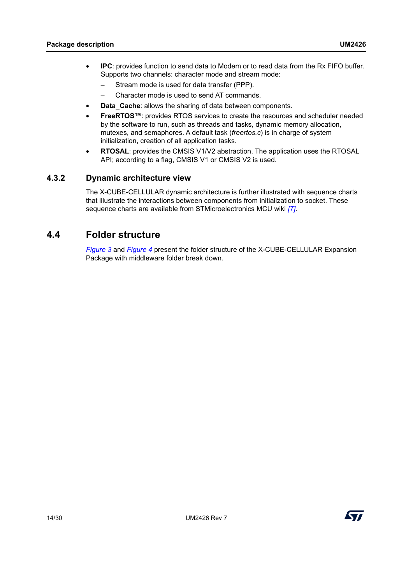- **IPC**: provides function to send data to Modem or to read data from the Rx FIFO buffer. Supports two channels: character mode and stream mode:
	- Stream mode is used for data transfer (PPP).
	- Character mode is used to send AT commands.
- **Data Cache: allows the sharing of data between components.**
- **FreeRTOS™**: provides RTOS services to create the resources and scheduler needed by the software to run, such as threads and tasks, dynamic memory allocation, mutexes, and semaphores. A default task (*freertos.c*) is in charge of system initialization, creation of all application tasks.
- **RTOSAL**: provides the CMSIS V1/V2 abstraction. The application uses the RTOSAL API; according to a flag, CMSIS V1 or CMSIS V2 is used.

## <span id="page-13-0"></span>**4.3.2 Dynamic architecture view**

The X-CUBE-CELLULAR dynamic architecture is further illustrated with sequence charts that illustrate the interactions between components from initialization to socket. These sequence charts are available from STMicroelectronics MCU wiki *[\[7\]](#page-6-1)*.

## <span id="page-13-1"></span>**4.4 Folder structure**

*[Figure](#page-14-0) 3* and *[Figure](#page-15-0) 4* present the folder structure of the X-CUBE-CELLULAR Expansion Package with middleware folder break down.

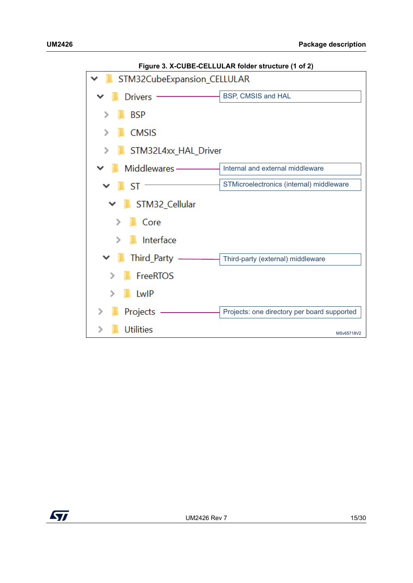<span id="page-14-0"></span>

**Figure 3. X-CUBE-CELLULAR folder structure (1 of 2)**

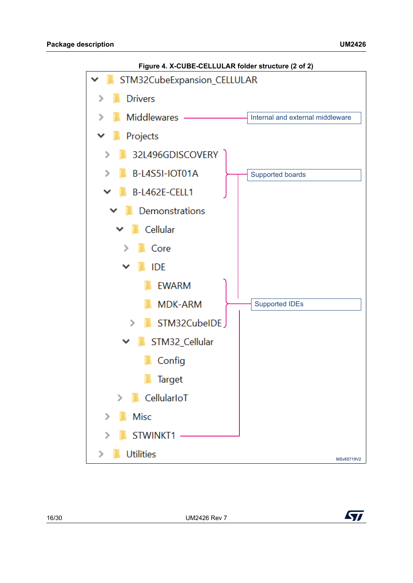<span id="page-15-0"></span>

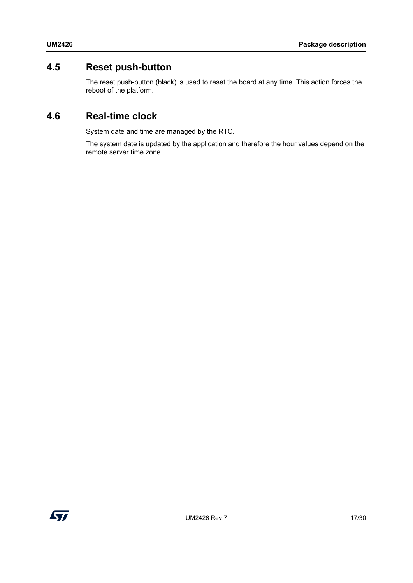# <span id="page-16-0"></span>**4.5 Reset push-button**

The reset push-button (black) is used to reset the board at any time. This action forces the reboot of the platform.

## <span id="page-16-1"></span>**4.6 Real-time clock**

System date and time are managed by the RTC.

The system date is updated by the application and therefore the hour values depend on the remote server time zone.

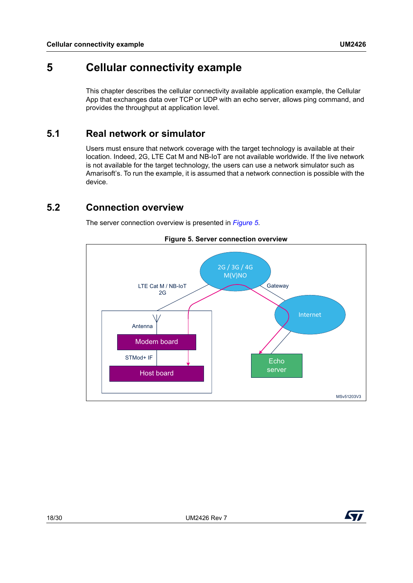# <span id="page-17-0"></span>**5 Cellular connectivity example**

This chapter describes the cellular connectivity available application example, the Cellular App that exchanges data over TCP or UDP with an echo server, allows ping command, and provides the throughput at application level.

# <span id="page-17-1"></span>**5.1 Real network or simulator**

Users must ensure that network coverage with the target technology is available at their location. Indeed, 2G, LTE Cat M and NB-IoT are not available worldwide. If the live network is not available for the target technology, the users can use a network simulator such as Amarisoft's. To run the example, it is assumed that a network connection is possible with the device.

# <span id="page-17-2"></span>**5.2 Connection overview**

The server connection overview is presented in *[Figure](#page-17-3) 5*.

<span id="page-17-3"></span>

**Figure 5. Server connection overview**

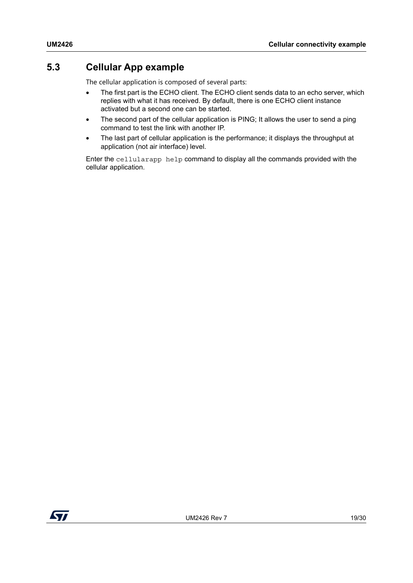# <span id="page-18-0"></span>**5.3 Cellular App example**

The cellular application is composed of several parts:

- The first part is the ECHO client. The ECHO client sends data to an echo server, which replies with what it has received. By default, there is one ECHO client instance activated but a second one can be started.
- The second part of the cellular application is PING; It allows the user to send a ping command to test the link with another IP.
- The last part of cellular application is the performance; it displays the throughput at application (not air interface) level.

Enter the cellularapp help command to display all the commands provided with the cellular application.

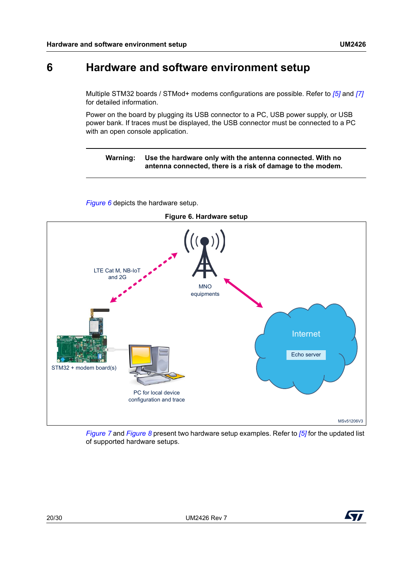# <span id="page-19-0"></span>**6 Hardware and software environment setup**

Multiple STM32 boards / STMod+ modems configurations are possible. Refer to *[\[5\]](#page-6-2)* and *[\[7\]](#page-6-1)* for detailed information.

Power on the board by plugging its USB connector to a PC, USB power supply, or USB power bank. If traces must be displayed, the USB connector must be connected to a PC with an open console application.

#### **Warning: Use the hardware only with the antenna connected. With no antenna connected, there is a risk of damage to the modem.**

<span id="page-19-1"></span>**Figure 6. Hardware setup**  $\frac{1}{\sqrt{2}}$ LTE Cat M, NB-IoT and 2G **MNO** equipments Internet Echo serverSTM32 + modem board(s) PC for local device configuration and trace

*[Figure](#page-19-1) 6* depicts the hardware setup.

*[Figure](#page-20-0) 7* and *[Figure](#page-21-0) 8* present two hardware setup examples. Refer to *[\[5\]](#page-6-2)* for the updated list of supported hardware setups.



MSv51206V3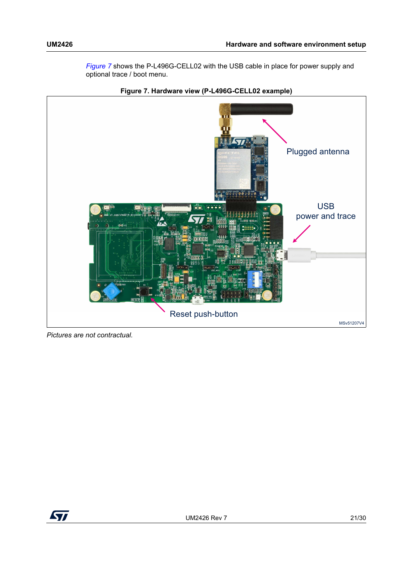*[Figure](#page-20-0) 7* shows the P-L496G-CELL02 with the USB cable in place for power supply and optional trace / boot menu.

<span id="page-20-0"></span>

**Figure 7. Hardware view (P-L496G-CELL02 example)**

*Pictures are not contractual.*

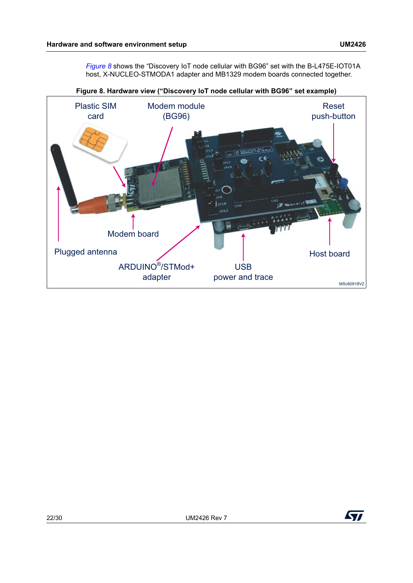*[Figure](#page-21-0) 8* shows the "Discovery IoT node cellular with BG96" set with the B-L475E-IOT01A host, X-NUCLEO-STMODA1 adapter and MB1329 modem boards connected together.

<span id="page-21-0"></span>

**Figure 8. Hardware view ("Discovery IoT node cellular with BG96" set example)**

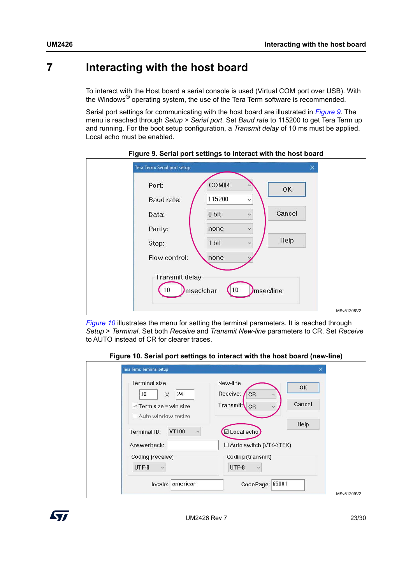# <span id="page-22-0"></span>**7 Interacting with the host board**

To interact with the Host board a serial console is used (Virtual COM port over USB). With the Windows® operating system, the use of the Tera Term software is recommended.

Serial port settings for communicating with the host board are illustrated in *[Figure](#page-22-1) 9*. The menu is reached through *Setup* > *Serial port*. Set *Baud rate* to 115200 to get Tera Term up and running. For the boot setup configuration, a *Transmit delay* of 10 ms must be applied. Local echo must be enabled.

<span id="page-22-1"></span>

| Tera Term: Serial port setup<br>×                                             |            |
|-------------------------------------------------------------------------------|------------|
| COM84<br>Port:<br>OK<br>115200                                                |            |
| <b>Baud rate:</b><br>$\checkmark$<br>Cancel<br>8 bit<br>Data:<br>$\checkmark$ |            |
| Parity:<br>none<br>$\checkmark$<br>Help<br>1 bit<br>Stop:<br>$\sim$           |            |
| Flow control:<br>none                                                         |            |
| <b>Transmit delay</b><br>10 <sup>°</sup><br>msec/line<br>msec/char<br>10      |            |
|                                                                               | MSv51208V2 |

**Figure 9. Serial port settings to interact with the host board**

*[Figure](#page-22-2) 10* illustrates the menu for setting the terminal parameters. It is reached through *Setup* > *Terminal*. Set both *Receive* and *Transmit New-line* parameters to CR. Set *Receive* to AUTO instead of CR for clearer traces.

#### **Figure 10. Serial port settings to interact with the host board (new-line)**

<span id="page-22-2"></span>

| <b>Terminal size</b><br>$ 24\rangle$<br>$\times$<br>80 | New-line<br><b>OK</b><br>Receive:<br>CR<br>$\checkmark$ |
|--------------------------------------------------------|---------------------------------------------------------|
| $\boxdot$ Term size = win size<br>Auto window resize   | Cancel<br>Transmit:<br>CR                               |
| VT100<br>Terminal ID:<br>$\checkmark$                  | Help<br>⊡ Local echo                                    |
| Answerback:                                            | $\Box$ Auto switch (VT<->TEK)                           |
| Coding (receive)<br>UTF-8<br>$\checkmark$              | Coding (transmit)<br>UTF-8<br>$\checkmark$              |

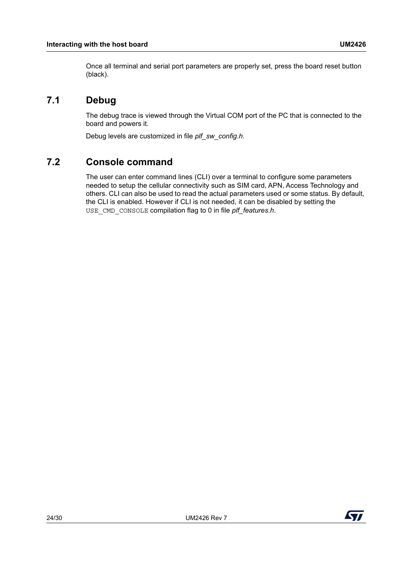Once all terminal and serial port parameters are properly set, press the board reset button (black).

# <span id="page-23-0"></span>**7.1 Debug**

The debug trace is viewed through the Virtual COM port of the PC that is connected to the board and powers it.

Debug levels are customized in file *plf\_sw\_config.h*.

# <span id="page-23-1"></span>**7.2 Console command**

The user can enter command lines (CLI) over a terminal to configure some parameters needed to setup the cellular connectivity such as SIM card, APN, Access Technology and others. CLI can also be used to read the actual parameters used or some status. By default, the CLI is enabled. However if CLI is not needed, it can be disabled by setting the USE\_CMD\_CONSOLE compilation flag to 0 in file *plf\_features.h*.

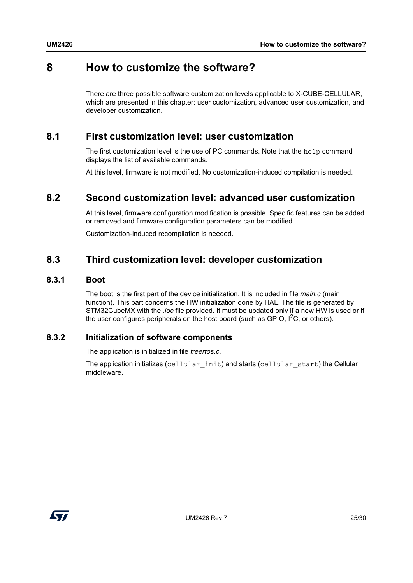# <span id="page-24-0"></span>**8 How to customize the software?**

There are three possible software customization levels applicable to X-CUBE-CELLULAR, which are presented in this chapter: user customization, advanced user customization, and developer customization.

## <span id="page-24-1"></span>**8.1 First customization level: user customization**

The first customization level is the use of PC commands. Note that the help command displays the list of available commands.

At this level, firmware is not modified. No customization-induced compilation is needed.

## <span id="page-24-2"></span>**8.2 Second customization level: advanced user customization**

At this level, firmware configuration modification is possible. Specific features can be added or removed and firmware configuration parameters can be modified.

Customization-induced recompilation is needed.

## <span id="page-24-3"></span>**8.3 Third customization level: developer customization**

#### <span id="page-24-4"></span>**8.3.1 Boot**

The boot is the first part of the device initialization. It is included in file *main.c* (main function). This part concerns the HW initialization done by HAL. The file is generated by STM32CubeMX with the *.ioc* file provided. It must be updated only if a new HW is used or if the user configures peripherals on the host board (such as GPIO,  $1^2C$ , or others).

## <span id="page-24-5"></span>**8.3.2 Initialization of software components**

The application is initialized in file *freertos.c*.

The application initializes (cellular init) and starts (cellular start) the Cellular middleware.

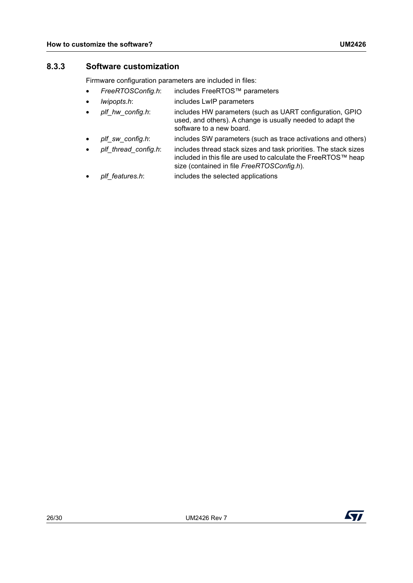### <span id="page-25-0"></span>**8.3.3 Software customization**

Firmware configuration parameters are included in files:

- *FreeRTOSConfig.h*: includes FreeRTOS™ parameters
- *lwipopts.h*: includes LwIP parameters
- *plf\_hw\_config.h*: includes HW parameters (such as UART configuration, GPIO used, and others). A change is usually needed to adapt the software to a new board.
- *plf\_sw\_config.h*: includes SW parameters (such as trace activations and others)
- *plf\_thread\_config.h*: includes thread stack sizes and task priorities. The stack sizes included in this file are used to calculate the FreeRTOS™ heap size (contained in file *FreeRTOSConfig.h*).
- *plf\_features.h*: includes the selected applications

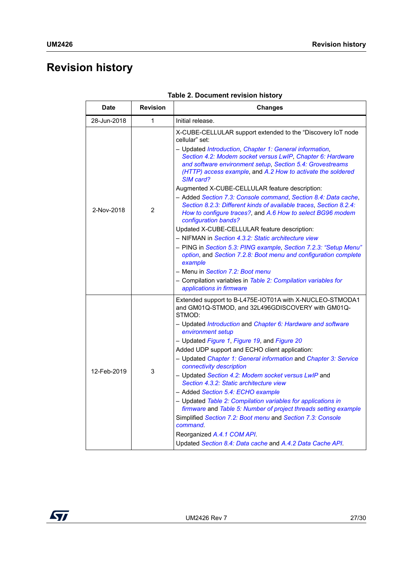# <span id="page-26-0"></span>**Revision history**

<span id="page-26-1"></span>

| <b>Date</b> | <b>Revision</b> | <b>Changes</b>                                                                                                                                                                                                                                                                                                                                                                                                                                                                                                                                                                                                                                                                                                                                                                                                                                                                                                                                                                                                            |
|-------------|-----------------|---------------------------------------------------------------------------------------------------------------------------------------------------------------------------------------------------------------------------------------------------------------------------------------------------------------------------------------------------------------------------------------------------------------------------------------------------------------------------------------------------------------------------------------------------------------------------------------------------------------------------------------------------------------------------------------------------------------------------------------------------------------------------------------------------------------------------------------------------------------------------------------------------------------------------------------------------------------------------------------------------------------------------|
| 28-Jun-2018 | 1               | Initial release.                                                                                                                                                                                                                                                                                                                                                                                                                                                                                                                                                                                                                                                                                                                                                                                                                                                                                                                                                                                                          |
| 2-Nov-2018  | $\overline{2}$  | X-CUBE-CELLULAR support extended to the "Discovery IoT node<br>cellular" set:<br>- Updated Introduction, Chapter 1: General information,<br>Section 4.2: Modem socket versus LwIP, Chapter 6: Hardware<br>and software environment setup, Section 5.4: Grovestreams<br>(HTTP) access example, and A.2 How to activate the soldered<br>SIM card?<br>Augmented X-CUBE-CELLULAR feature description:<br>- Added Section 7.3: Console command, Section 8.4: Data cache,<br>Section 8.2.3: Different kinds of available traces, Section 8.2.4:<br>How to configure traces?, and A.6 How to select BG96 modem<br>configuration bands?<br>Updated X-CUBE-CELLULAR feature description:<br>- NIFMAN in Section 4.3.2: Static architecture view<br>- PING in Section 5.3: PING example, Section 7.2.3: "Setup Menu"<br>option, and Section 7.2.8: Boot menu and configuration complete<br>example<br>- Menu in Section 7.2: Boot menu<br>- Compilation variables in Table 2: Compilation variables for<br>applications in firmware |
| 12-Feb-2019 | 3               | Extended support to B-L475E-IOT01A with X-NUCLEO-STMODA1<br>and GM01Q-STMOD, and 32L496GDISCOVERY with GM01Q-<br>STMOD:<br>- Updated Introduction and Chapter 6: Hardware and software<br>environment setup<br>- Updated Figure 1, Figure 19, and Figure 20<br>Added UDP support and ECHO client application:<br>- Updated Chapter 1: General information and Chapter 3: Service<br>connectivity description<br>- Updated Section 4.2: Modem socket versus LwIP and<br>Section 4.3.2: Static architecture view<br>- Added Section 5.4: ECHO example<br>- Updated Table 2: Compilation variables for applications in<br>firmware and Table 5: Number of project threads setting example<br>Simplified Section 7.2: Boot menu and Section 7.3: Console<br>command.<br>Reorganized A.4.1 COM API.<br>Updated Section 8.4: Data cache and A.4.2 Data Cache API.                                                                                                                                                               |

**Table 2. Document revision history** 

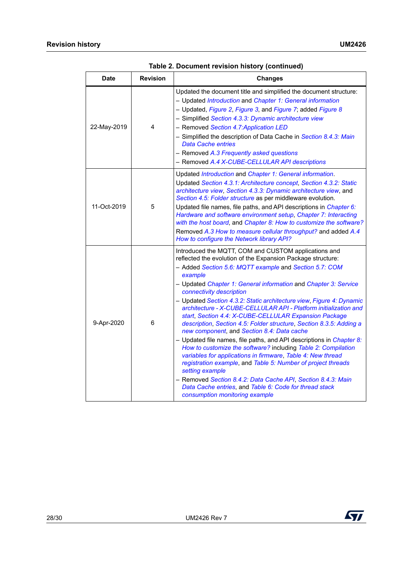| <b>Date</b> | <b>Revision</b> | <b>Changes</b>                                                                                                                                                                                                                                                                                                                                                                                                                                                                                                                                                                                                                                                                                                                                                                                                                                                                                                                                                                                                                                                           |
|-------------|-----------------|--------------------------------------------------------------------------------------------------------------------------------------------------------------------------------------------------------------------------------------------------------------------------------------------------------------------------------------------------------------------------------------------------------------------------------------------------------------------------------------------------------------------------------------------------------------------------------------------------------------------------------------------------------------------------------------------------------------------------------------------------------------------------------------------------------------------------------------------------------------------------------------------------------------------------------------------------------------------------------------------------------------------------------------------------------------------------|
| 22-May-2019 | 4               | Updated the document title and simplified the document structure:<br>- Updated Introduction and Chapter 1: General information<br>- Updated, Figure 2, Figure 3, and Figure 7; added Figure 8<br>- Simplified Section 4.3.3: Dynamic architecture view<br>- Removed Section 4.7: Application LED<br>- Simplified the description of Data Cache in Section 8.4.3: Main<br><b>Data Cache entries</b><br>- Removed A.3 Frequently asked questions<br>- Removed A.4 X-CUBE-CELLULAR API descriptions                                                                                                                                                                                                                                                                                                                                                                                                                                                                                                                                                                         |
| 11-Oct-2019 | 5               | Updated Introduction and Chapter 1: General information.<br>Updated Section 4.3.1: Architecture concept, Section 4.3.2: Static<br>architecture view, Section 4.3.3: Dynamic architecture view, and<br>Section 4.5: Folder structure as per middleware evolution.<br>Updated file names, file paths, and API descriptions in Chapter 6:<br>Hardware and software environment setup, Chapter 7: Interacting<br>with the host board, and Chapter 8: How to customize the software?<br>Removed A.3 How to measure cellular throughput? and added A.4<br>How to configure the Network library API?                                                                                                                                                                                                                                                                                                                                                                                                                                                                            |
| 9-Apr-2020  | 6               | Introduced the MQTT, COM and CUSTOM applications and<br>reflected the evolution of the Expansion Package structure:<br>- Added Section 5.6: MQTT example and Section 5.7: COM<br>example<br>- Updated Chapter 1: General information and Chapter 3: Service<br>connectivity description<br>- Updated Section 4.3.2: Static architecture view, Figure 4: Dynamic<br>architecture - X-CUBE-CELLULAR API - Platform initialization and<br>start, Section 4.4: X-CUBE-CELLULAR Expansion Package<br>description, Section 4.5: Folder structure, Section 8.3.5: Adding a<br>new component, and Section 8.4: Data cache<br>- Updated file names, file paths, and API descriptions in Chapter 8:<br>How to customize the software? including Table 2: Compilation<br>variables for applications in firmware, Table 4: New thread<br>registration example, and Table 5: Number of project threads<br>setting example<br>- Removed Section 8.4.2: Data Cache API, Section 8.4.3: Main<br>Data Cache entries, and Table 6: Code for thread stack<br>consumption monitoring example |

**Table 2. Document revision history (continued)**

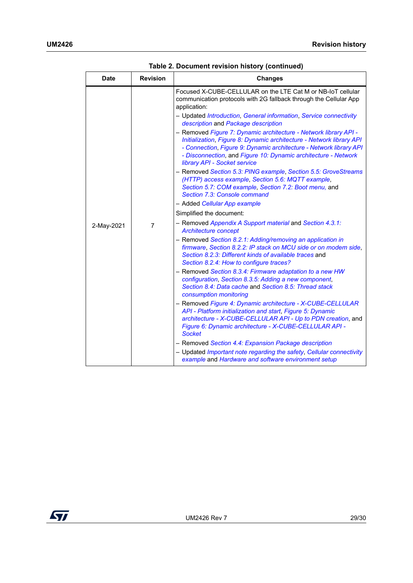| Date       | <b>Revision</b> | <b>Changes</b>                                                                                                                                                                                                                                                                                                   |
|------------|-----------------|------------------------------------------------------------------------------------------------------------------------------------------------------------------------------------------------------------------------------------------------------------------------------------------------------------------|
|            |                 | Focused X-CUBE-CELLULAR on the LTE Cat M or NB-IoT cellular<br>communication protocols with 2G fallback through the Cellular App<br>application:                                                                                                                                                                 |
|            |                 | - Updated Introduction, General information, Service connectivity<br>description and Package description                                                                                                                                                                                                         |
|            |                 | - Removed Figure 7: Dynamic architecture - Network library API -<br>Initialization, Figure 8: Dynamic architecture - Network library API<br>- Connection, Figure 9: Dynamic architecture - Network library API<br>- Disconnection, and Figure 10: Dynamic architecture - Network<br>library API - Socket service |
|            |                 | - Removed Section 5.3: PING example, Section 5.5: GroveStreams<br>(HTTP) access example, Section 5.6: MQTT example,<br>Section 5.7: COM example, Section 7.2: Boot menu, and<br>Section 7.3: Console command                                                                                                     |
|            |                 | - Added Cellular App example                                                                                                                                                                                                                                                                                     |
|            |                 | Simplified the document:                                                                                                                                                                                                                                                                                         |
| 2-May-2021 | $\overline{7}$  | - Removed Appendix A Support material and Section 4.3.1:<br><b>Architecture concept</b>                                                                                                                                                                                                                          |
|            |                 | - Removed Section 8.2.1: Adding/removing an application in<br>firmware, Section 8.2.2: IP stack on MCU side or on modem side,<br>Section 8.2.3: Different kinds of available traces and<br>Section 8.2.4: How to configure traces?                                                                               |
|            |                 | - Removed Section 8.3.4: Firmware adaptation to a new HW<br>configuration, Section 8.3.5: Adding a new component,<br>Section 8.4: Data cache and Section 8.5: Thread stack<br>consumption monitoring                                                                                                             |
|            |                 | - Removed Figure 4: Dynamic architecture - X-CUBE-CELLULAR<br>API - Platform initialization and start, Figure 5: Dynamic<br>architecture - X-CUBE-CELLULAR API - Up to PDN creation, and<br>Figure 6: Dynamic architecture - X-CUBE-CELLULAR API -<br><b>Socket</b>                                              |
|            |                 | - Removed Section 4.4: Expansion Package description                                                                                                                                                                                                                                                             |
|            |                 | - Updated Important note regarding the safety, Cellular connectivity<br>example and Hardware and software environment setup                                                                                                                                                                                      |

**Table 2. Document revision history (continued)**